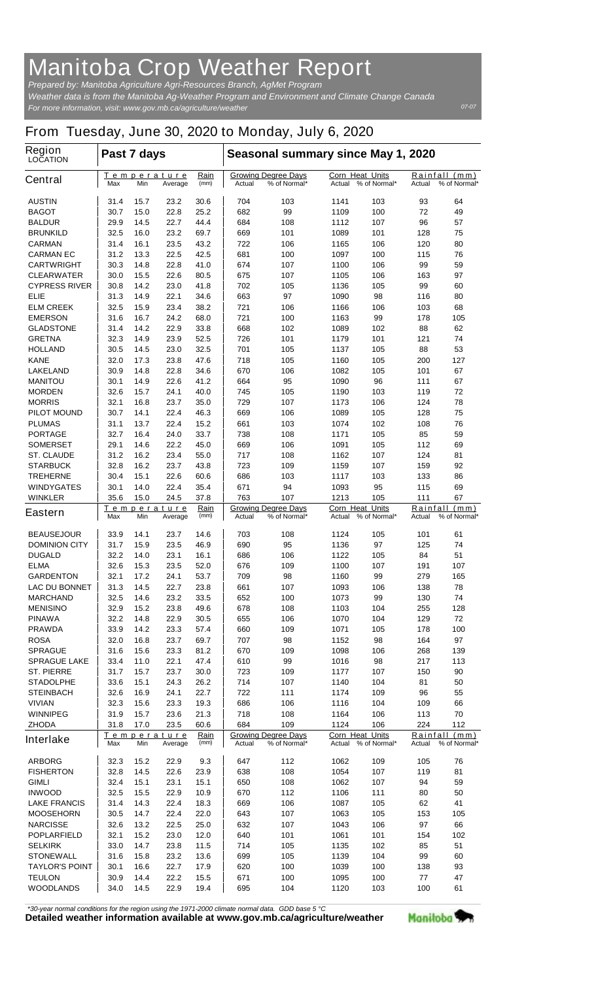## **Manitoba Crop Weather Report**

*For more information, visit: www.gov.mb.ca/agriculture/weather Prepared by: Manitoba Agriculture Agri-Resources Branch, AgMet Program Weather data is from the Manitoba Ag-Weather Program and Environment and Climate Change Canada*

## **From Tuesday, June 30, 2020 to Monday, July 6, 2020**

| <b>Region</b><br><b>LOCATION</b>   | Past 7 days                                                                 |              |                               |                                                                    | Seasonal summary since May 1, 2020 |                                                       |                                  |                                                          |                           |                      |
|------------------------------------|-----------------------------------------------------------------------------|--------------|-------------------------------|--------------------------------------------------------------------|------------------------------------|-------------------------------------------------------|----------------------------------|----------------------------------------------------------|---------------------------|----------------------|
| <b>Central</b>                     | Max                                                                         | Min          | <u>Temperature</u><br>Average | <u>Rain</u><br>(mm)                                                | Actual                             | <b>Growing Degree Days</b><br>% of Normal*            | <b>Corn Heat Units</b><br>Actual | % of Normal*                                             | <u>Rainfall</u><br>Actual | (mm)<br>% of Normal* |
| <b>AUSTIN</b>                      | 31.4                                                                        | 15.7         | 23.2                          | 30.6                                                               | 704                                | 103                                                   | 1141                             | 103                                                      | 93                        | 64                   |
| <b>BAGOT</b>                       | 30.7                                                                        | 15.0         | 22.8                          | 25.2                                                               | 682                                | 99                                                    | 1109                             | 100                                                      | 72                        | 49                   |
| <b>BALDUR</b>                      | 29.9                                                                        | 14.5         | 22.7                          | 44.4                                                               | 684                                | 108                                                   | 1112                             | 107                                                      | 96                        | 57                   |
| <b>BRUNKILD</b>                    | 32.5                                                                        | 16.0         | 23.2                          | 69.7                                                               | 669                                | 101                                                   | 1089                             | 101                                                      | 128                       | 75                   |
| <b>CARMAN</b><br><b>CARMAN EC</b>  | 31.4<br>31.2                                                                | 16.1<br>13.3 | 23.5<br>22.5                  | 43.2<br>42.5                                                       | 722<br>681                         | 106<br>100                                            | 1165<br>1097                     | 106<br>100                                               | 120<br>115                | 80<br>76             |
| <b>CARTWRIGHT</b>                  | 30.3                                                                        | 14.8         | 22.8                          | 41.0                                                               | 674                                | 107                                                   | 1100                             | 106                                                      | 99                        | 59                   |
| <b>CLEARWATER</b>                  | 30.0                                                                        | 15.5         | 22.6                          | 80.5                                                               | 675                                | 107                                                   | 1105                             | 106                                                      | 163                       | 97                   |
| <b>CYPRESS RIVER</b>               | 30.8                                                                        | 14.2         | 23.0                          | 41.8                                                               | 702                                | 105                                                   | 1136                             | 105                                                      | 99                        | 60                   |
| ELIE                               | 31.3                                                                        | 14.9         | 22.1                          | 34.6                                                               | 663                                | 97                                                    | 1090                             | 98                                                       | 116                       | 80                   |
| <b>ELM CREEK</b>                   | 32.5                                                                        | 15.9         | 23.4                          | 38.2                                                               | 721                                | 106                                                   | 1166                             | 106                                                      | 103                       | 68                   |
| <b>EMERSON</b>                     | 31.6                                                                        | 16.7         | 24.2                          | 68.0                                                               | 721                                | 100                                                   | 1163                             | 99                                                       | 178                       | 105                  |
| <b>GLADSTONE</b>                   | 31.4                                                                        | 14.2         | 22.9                          | 33.8                                                               | 668                                | 102                                                   | 1089                             | 102                                                      | 88                        | 62                   |
| <b>GRETNA</b>                      | 32.3                                                                        | 14.9<br>14.5 | 23.9<br>23.0                  | 52.5<br>32.5                                                       | 726<br>701                         | 101<br>105                                            | 1179<br>1137                     | 101<br>105                                               | 121                       | 74<br>53             |
| <b>HOLLAND</b><br><b>KANE</b>      | 30.5<br>32.0                                                                | 17.3         | 23.8                          | 47.6                                                               | 718                                | 105                                                   | 1160                             | 105                                                      | 88<br>200                 | 127                  |
| <b>LAKELAND</b>                    | 30.9                                                                        | 14.8         | 22.8                          | 34.6                                                               | 670                                | 106                                                   | 1082                             | 105                                                      | 101                       | 67                   |
| <b>MANITOU</b>                     | 30.1                                                                        | 14.9         | 22.6                          | 41.2                                                               | 664                                | 95                                                    | 1090                             | 96                                                       | 111                       | 67                   |
| <b>MORDEN</b>                      | 32.6                                                                        | 15.7         | 24.1                          | 40.0                                                               | 745                                | 105                                                   | 1190                             | 103                                                      | 119                       | 72                   |
| <b>MORRIS</b>                      | 32.1                                                                        | 16.8         | 23.7                          | 35.0                                                               | 729                                | 107                                                   | 1173                             | 106                                                      | 124                       | 78                   |
| <b>PILOT MOUND</b>                 | 30.7                                                                        | 14.1         | 22.4                          | 46.3                                                               | 669                                | 106                                                   | 1089                             | 105                                                      | 128                       | 75                   |
| <b>PLUMAS</b>                      | 31.1                                                                        | 13.7         | 22.4                          | 15.2                                                               | 661                                | 103                                                   | 1074                             | 102                                                      | 108                       | 76                   |
| <b>PORTAGE</b>                     | 32.7                                                                        | 16.4         | 24.0                          | 33.7                                                               | 738                                | 108                                                   | 1171                             | 105                                                      | 85                        | 59                   |
| <b>SOMERSET</b>                    | 29.1                                                                        | 14.6         | 22.2                          | 45.0                                                               | 669                                | 106                                                   | 1091                             | 105                                                      | 112                       | 69                   |
| <b>ST. CLAUDE</b>                  | 31.2                                                                        | 16.2<br>16.2 | 23.4                          | 55.0<br>43.8                                                       | 717                                | 108                                                   | 1162                             | 107                                                      | 124                       | 81<br>92             |
| <b>STARBUCK</b><br><b>TREHERNE</b> | 32.8<br>30.4                                                                | 15.1         | 23.7<br>22.6                  | 60.6                                                               | 723<br>686                         | 109<br>103                                            | 1159<br>1117                     | 107<br>103                                               | 159<br>133                | 86                   |
| <b>WINDYGATES</b>                  | 30.1                                                                        | 14.0         | 22.4                          | 35.4                                                               | 671                                | 94                                                    | 1093                             | 95                                                       | 115                       | 69                   |
| <b>WINKLER</b>                     | 35.6                                                                        | 15.0         | 24.5                          | 37.8                                                               | 763                                | 107                                                   | 1213                             | 105                                                      | 111                       | 67                   |
| <b>Eastern</b>                     | Rain<br>Temperature<br>Max<br>Min<br>(mm)<br>Average                        |              |                               | <b>Growing Degree Days</b><br>Actual<br>% of Normal*               |                                    | <b>Corn Heat Units</b><br>% of Normal*<br>Actual      |                                  | Rainfall<br>(mm)<br>Actual<br>% of Normal*               |                           |                      |
| <b>BEAUSEJOUR</b>                  | 33.9                                                                        | 14.1         | 23.7                          | 14.6                                                               | 703                                | 108                                                   | 1124                             | 105                                                      | 101                       | 61                   |
| <b>DOMINION CITY</b>               | 31.7                                                                        | 15.9         | 23.5                          | 46.9                                                               | 690                                | 95                                                    | 1136                             | 97                                                       | 125                       | 74                   |
| <b>DUGALD</b>                      | 32.2                                                                        | 14.0         | 23.1                          | 16.1                                                               | 686                                | 106                                                   | 1122                             | 105                                                      | 84                        | 51                   |
| <b>ELMA</b>                        | 32.6                                                                        | 15.3         | 23.5                          | 52.0                                                               | 676                                | 109                                                   | 1100                             | 107                                                      | 191                       | 107                  |
| <b>GARDENTON</b>                   | 32.1                                                                        | 17.2         | 24.1                          | 53.7                                                               | 709                                | 98                                                    | 1160                             | 99                                                       | 279                       | 165                  |
| <b>LAC DU BONNET</b>               | 31.3                                                                        | 14.5         | 22.7                          | 23.8                                                               | 661                                | 107                                                   | 1093                             | 106                                                      | 138                       | 78                   |
| <b>MARCHAND</b>                    | 32.5                                                                        | 14.6         | 23.2                          | 33.5                                                               | 652                                | 100                                                   | 1073                             | 99                                                       | 130                       | 74                   |
| <b>MENISINO</b><br><b>PINAWA</b>   | 32.9<br>32.2                                                                | 15.2<br>14.8 | 23.8<br>22.9                  | 49.6<br>30.5                                                       | 678<br>655                         | 108<br>106                                            | 1103<br>1070                     | 104<br>104                                               | 255<br>129                | 128<br>72            |
| <b>PRAWDA</b>                      | 33.9                                                                        | 14.2         | 23.3                          | 57.4                                                               | 660                                | 109                                                   | 1071                             | 105                                                      | 178                       | 100                  |
| <b>ROSA</b>                        | 32.0                                                                        | 16.8         | 23.7                          | 69.7                                                               | 707                                | 98                                                    | 1152                             | 98                                                       | 164                       | 97                   |
| <b>SPRAGUE</b>                     | 31.6                                                                        | 15.6         | 23.3                          | 81.2                                                               | 670                                | 109                                                   | 1098                             | 106                                                      | 268                       | 139                  |
| <b>SPRAGUE LAKE</b>                | 33.4                                                                        | 11.0         | 22.1                          | 47.4                                                               | 610                                | 99                                                    | 1016                             | 98                                                       | 217                       | 113                  |
| <b>ST. PIERRE</b>                  | 31.7                                                                        | 15.7         | 23.7                          | 30.0                                                               | 723                                | 109                                                   | 1177                             | 107                                                      | 150                       | 90                   |
| <b>STADOLPHE</b>                   | 33.6                                                                        | 15.1         | 24.3                          | 26.2                                                               | 714                                | 107                                                   | 1140                             | 104                                                      | 81                        | 50                   |
| <b>STEINBACH</b>                   | 32.6                                                                        | 16.9         | 24.1                          | 22.7                                                               | 722                                | 111                                                   | 1174                             | 109                                                      | 96                        | 55                   |
| <b>VIVIAN</b>                      | 32.3                                                                        | 15.6         | 23.3                          | 19.3                                                               | 686                                | 106                                                   | 1116                             | 104                                                      | 109                       | 66                   |
| <b>WINNIPEG</b>                    | 31.9                                                                        | 15.7         | 23.6                          | 21.3                                                               | 718                                | 108                                                   | 1164                             | 106                                                      | 113                       | 70                   |
| <b>ZHODA</b><br><b>Interlake</b>   | 17.0<br>23.5<br>60.6<br>31.8<br><u>Temperature</u><br>Min<br>Average<br>Max |              | Rain<br>(mm)                  | 684<br>109<br><b>Growing Degree Days</b><br>Actual<br>% of Normal* |                                    | 1124<br>106<br>Corn Heat Units<br>Actual % of Normal* |                                  | 224<br>112<br>Rainfall<br>(mm)<br>% of Normal*<br>Actual |                           |                      |
|                                    |                                                                             |              |                               |                                                                    |                                    |                                                       |                                  |                                                          |                           |                      |
| <b>ARBORG</b><br><b>FISHERTON</b>  | 32.3<br>32.8                                                                | 15.2<br>14.5 | 22.9<br>22.6                  | 9.3<br>23.9                                                        | 647<br>638                         | 112<br>108                                            | 1062<br>1054                     | 109<br>107                                               | 105<br>119                | 76<br>81             |
| GIMLI                              | 32.4                                                                        | 15.1         | 23.1                          | 15.1                                                               | 650                                | 108                                                   | 1062                             | 107                                                      | 94                        | 59                   |
| <b>INWOOD</b>                      | 32.5                                                                        | 15.5         | 22.9                          | 10.9                                                               | 670                                | 112                                                   | 1106                             | 111                                                      | 80                        | 50                   |
| <b>LAKE FRANCIS</b>                | 31.4                                                                        | 14.3         | 22.4                          | 18.3                                                               | 669                                | 106                                                   | 1087                             | 105                                                      | 62                        | 41                   |
| <b>MOOSEHORN</b>                   | 30.5                                                                        | 14.7         | 22.4                          | 22.0                                                               | 643                                | 107                                                   | 1063                             | 105                                                      | 153                       | 105                  |
| <b>NARCISSE</b>                    | 32.6                                                                        | 13.2         | 22.5                          | 25.0                                                               | 632                                | 107                                                   | 1043                             | 106                                                      | 97                        | 66                   |
| <b>POPLARFIELD</b>                 | 32.1                                                                        | 15.2         | 23.0                          | 12.0                                                               | 640                                | 101                                                   | 1061                             | 101                                                      | 154                       | 102                  |
| <b>SELKIRK</b>                     | 33.0                                                                        | 14.7         | 23.8                          | 11.5                                                               | 714                                | 105                                                   | 1135                             | 102                                                      | 85                        | 51                   |
| <b>STONEWALL</b>                   | 31.6                                                                        | 15.8         | 23.2                          | 13.6                                                               | 699                                | 105                                                   | 1139                             | 104                                                      | 99                        | 60                   |
| <b>TAYLOR'S POINT</b>              | 30.1                                                                        | 16.6         | 22.7                          | 17.9                                                               | 620                                | 100                                                   | 1039                             | 100                                                      | 138                       | 93                   |
| <b>TEULON</b>                      | 30.9                                                                        | 14.4         | 22.2                          | 15.5                                                               | 671                                | 100                                                   | 1095                             | 100                                                      | 77                        | 47                   |
| <b>WOODLANDS</b>                   | 34.0                                                                        | 14.5         | 22.9                          | 19.4                                                               | 695                                | 104                                                   | 1120                             | 103                                                      | 100                       | 61                   |

*\*30-year normal conditions for the region using the 1971-2000 climate normal data. GDD base 5 °C*<br>Detailed weather information available at www.gov.mb.ca/agriculture/weather